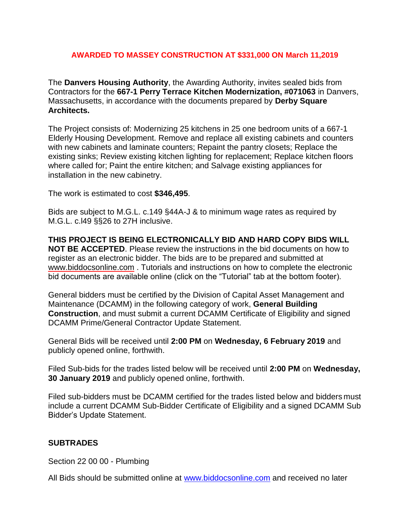## **AWARDED TO MASSEY CONSTRUCTION AT \$331,000 ON March 11,2019**

The **Danvers Housing Authority**, the Awarding Authority, invites sealed bids from Contractors for the **667-1 Perry Terrace Kitchen Modernization, #071063** in Danvers, Massachusetts, in accordance with the documents prepared by **Derby Square Architects.**

The Project consists of: Modernizing 25 kitchens in 25 one bedroom units of a 667-1 Elderly Housing Development. Remove and replace all existing cabinets and counters with new cabinets and laminate counters; Repaint the pantry closets; Replace the existing sinks; Review existing kitchen lighting for replacement; Replace kitchen floors where called for; Paint the entire kitchen; and Salvage existing appliances for installation in the new cabinetry.

The work is estimated to cost **\$346,495**.

Bids are subject to M.G.L. c.149 §44A-J & to minimum wage rates as required by M.G.L. c.l49 §§26 to 27H inclusive.

**THIS PROJECT IS BEING ELECTRONICALLY BID AND HARD COPY BIDS WILL NOT BE ACCEPTED**. Please review the instructions in the bid documents on how to register as an electronic bidder. The bids are to be prepared and submitted at [www.biddocsonline.com](http://www.biddocsonline.com/) . Tutorials and instructions on how to complete the electronic bid documents are available online (click on the "Tutorial" tab at the bottom footer).

General bidders must be certified by the Division of Capital Asset Management and Maintenance (DCAMM) in the following category of work, **General Building Construction**, and must submit a current DCAMM Certificate of Eligibility and signed DCAMM Prime/General Contractor Update Statement.

General Bids will be received until **2:00 PM** on **Wednesday, 6 February 2019** and publicly opened online, forthwith.

Filed Sub-bids for the trades listed below will be received until **2:00 PM** on **Wednesday, 30 January 2019** and publicly opened online, forthwith.

Filed sub-bidders must be DCAMM certified for the trades listed below and bidders must include a current DCAMM Sub-Bidder Certificate of Eligibility and a signed DCAMM Sub Bidder's Update Statement.

## **SUBTRADES**

Section 22 00 00 - Plumbing

All Bids should be submitted online at [www.biddocsonline.com](http://www.biddocsonline.com/) and received no later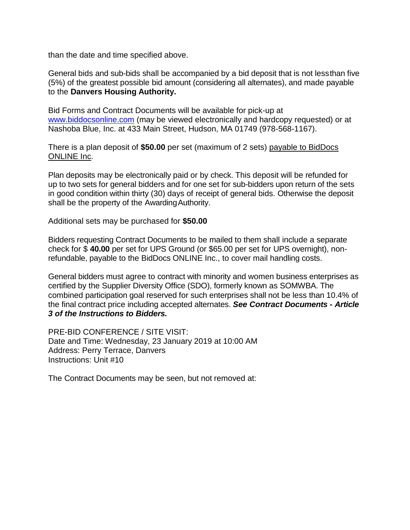than the date and time specified above.

General bids and sub-bids shall be accompanied by a bid deposit that is not lessthan five (5%) of the greatest possible bid amount (considering all alternates), and made payable to the **Danvers Housing Authority.**

Bid Forms and Contract Documents will be available for pick-up at [www.biddocsonline.com](http://www.biddocsonline.com/) (may be viewed electronically and hardcopy requested) or at Nashoba Blue, Inc. at 433 Main Street, Hudson, MA 01749 (978-568-1167).

There is a plan deposit of **\$50.00** per set (maximum of 2 sets) payable to BidDocs ONLINE Inc.

Plan deposits may be electronically paid or by check. This deposit will be refunded for up to two sets for general bidders and for one set for sub-bidders upon return of the sets in good condition within thirty (30) days of receipt of general bids. Otherwise the deposit shall be the property of the AwardingAuthority.

Additional sets may be purchased for **\$50.00**

Bidders requesting Contract Documents to be mailed to them shall include a separate check for \$ **40.00** per set for UPS Ground (or \$65.00 per set for UPS overnight), nonrefundable, payable to the BidDocs ONLINE Inc., to cover mail handling costs.

General bidders must agree to contract with minority and women business enterprises as certified by the Supplier Diversity Office (SDO), formerly known as SOMWBA. The combined participation goal reserved for such enterprises shall not be less than 10.4% of the final contract price including accepted alternates. *See Contract Documents - Article 3 of the Instructions to Bidders.*

PRE-BID CONFERENCE / SITE VISIT: Date and Time: Wednesday, 23 January 2019 at 10:00 AM Address: Perry Terrace, Danvers Instructions: Unit #10

The Contract Documents may be seen, but not removed at: